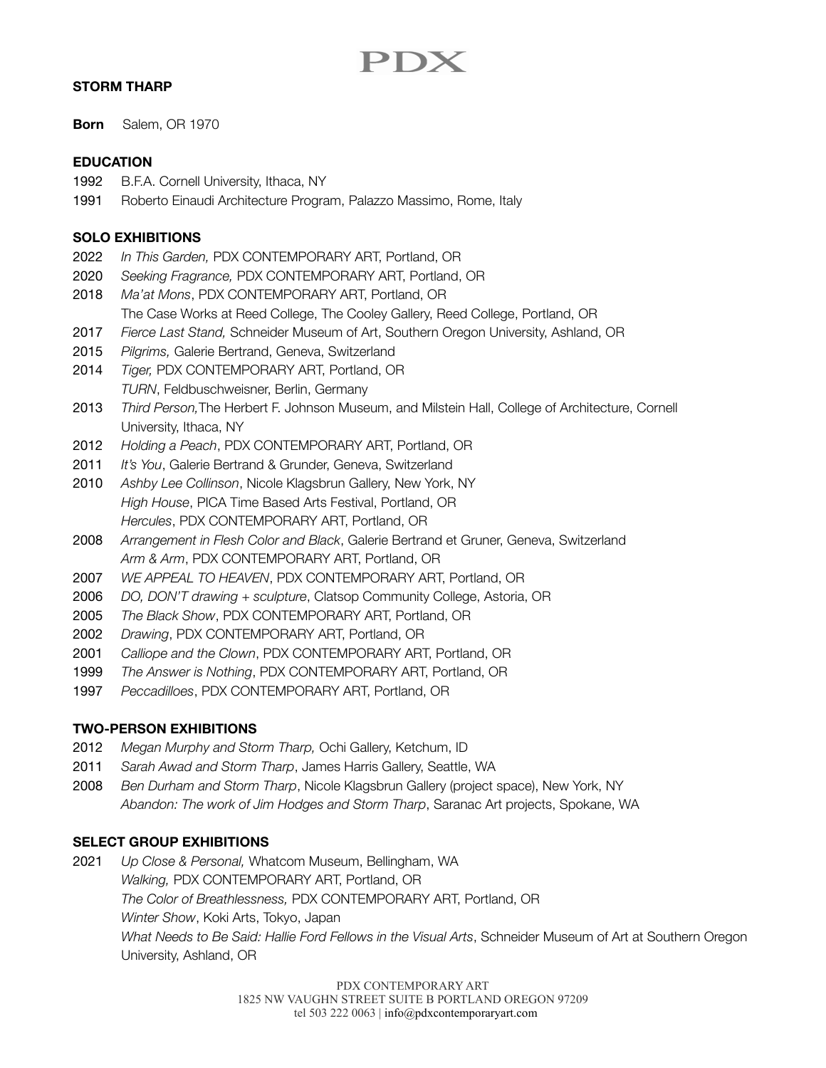# PDX

#### **STORM THARP**

**Born** Salem, OR 1970

#### **EDUCATION**

- 1992 B.F.A. Cornell University, Ithaca, NY
- 1991 Roberto Einaudi Architecture Program, Palazzo Massimo, Rome, Italy

#### **SOLO EXHIBITIONS**

- 2022 *In This Garden,* PDX CONTEMPORARY ART, Portland, OR
- 2020 *Seeking Fragrance,* PDX CONTEMPORARY ART, Portland, OR
- 2018 *Ma'at Mons*, PDX CONTEMPORARY ART, Portland, OR
- The Case Works at Reed College, The Cooley Gallery, Reed College, Portland, OR
- 2017 *Fierce Last Stand,* Schneider Museum of Art, Southern Oregon University, Ashland, OR
- 2015 *Pilgrims,* Galerie Bertrand, Geneva, Switzerland
- 2014 *Tiger,* PDX CONTEMPORARY ART, Portland, OR *TURN*, Feldbuschweisner, Berlin, Germany
- 2013 *Third Person,*The Herbert F. Johnson Museum, and Milstein Hall, College of Architecture, Cornell University, Ithaca, NY
- 2012 *Holding a Peach*, PDX CONTEMPORARY ART, Portland, OR
- 2011 *It's You*, Galerie Bertrand & Grunder, Geneva, Switzerland
- 2010 *Ashby Lee Collinson*, Nicole Klagsbrun Gallery, New York, NY *High House*, PICA Time Based Arts Festival, Portland, OR *Hercules*, PDX CONTEMPORARY ART, Portland, OR
- 2008 *Arrangement in Flesh Color and Black*, Galerie Bertrand et Gruner, Geneva, Switzerland *Arm & Arm*, PDX CONTEMPORARY ART, Portland, OR
- 2007 *WE APPEAL TO HEAVEN*, PDX CONTEMPORARY ART, Portland, OR
- 2006 *DO, DON'T drawing + sculpture*, Clatsop Community College, Astoria, OR
- 2005 *The Black Show*, PDX CONTEMPORARY ART, Portland, OR
- 2002 *Drawing*, PDX CONTEMPORARY ART, Portland, OR
- 2001 *Calliope and the Clown*, PDX CONTEMPORARY ART, Portland, OR
- 1999 *The Answer is Nothing*, PDX CONTEMPORARY ART, Portland, OR
- 1997 *Peccadilloes*, PDX CONTEMPORARY ART, Portland, OR

## **TWO-PERSON EXHIBITIONS**

- 2012 *Megan Murphy and Storm Tharp,* Ochi Gallery, Ketchum, ID
- 2011 *Sarah Awad and Storm Tharp*, James Harris Gallery, Seattle, WA
- 2008 *Ben Durham and Storm Tharp*, Nicole Klagsbrun Gallery (project space), New York, NY *Abandon: The work of Jim Hodges and Storm Tharp*, Saranac Art projects, Spokane, WA

## **SELECT GROUP EXHIBITIONS**

2021 *Up Close & Personal,* Whatcom Museum, Bellingham, WA *Walking,* PDX CONTEMPORARY ART, Portland, OR *The Color of Breathlessness,* PDX CONTEMPORARY ART, Portland, OR *Winter Show*, Koki Arts, Tokyo, Japan *What Needs to Be Said: Hallie Ford Fellows in the Visual Arts*, Schneider Museum of Art at Southern Oregon University, Ashland, OR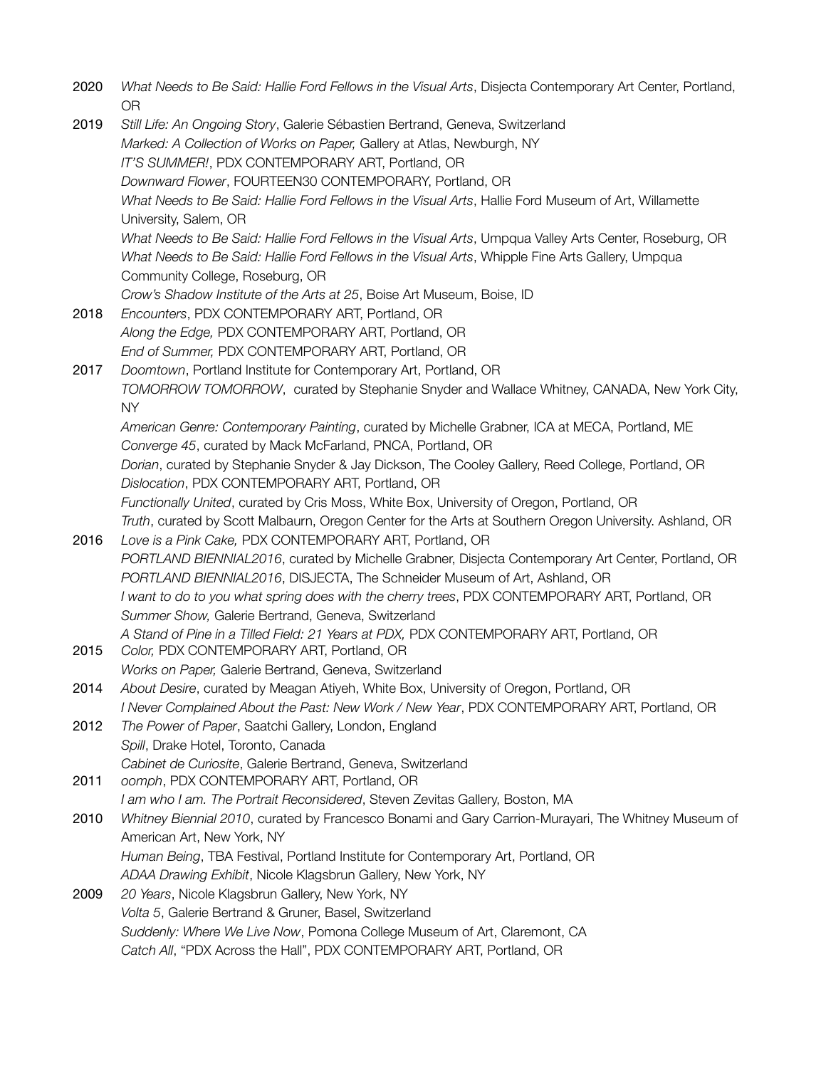2020 *What Needs to Be Said: Hallie Ford Fellows in the Visual Arts*, Disjecta Contemporary Art Center, Portland, OR 2019 *Still Life: An Ongoing Story*, Galerie Sébastien Bertrand, Geneva, Switzerland *Marked: A Collection of Works on Paper,* Gallery at Atlas, Newburgh, NY *IT'S SUMMER!*, PDX CONTEMPORARY ART, Portland, OR *Downward Flower*, FOURTEEN30 CONTEMPORARY, Portland, OR *What Needs to Be Said: Hallie Ford Fellows in the Visual Arts*, Hallie Ford Museum of Art, Willamette University, Salem, OR *What Needs to Be Said: Hallie Ford Fellows in the Visual Arts*, Umpqua Valley Arts Center, Roseburg, OR *What Needs to Be Said: Hallie Ford Fellows in the Visual Arts*, Whipple Fine Arts Gallery, Umpqua Community College, Roseburg, OR *Crow's Shadow Institute of the Arts at 25*, Boise Art Museum, Boise, ID 2018 *Encounters*, PDX CONTEMPORARY ART, Portland, OR *Along the Edge,* PDX CONTEMPORARY ART, Portland, OR *End of Summer,* PDX CONTEMPORARY ART, Portland, OR 2017 *Doomtown*, Portland Institute for Contemporary Art, Portland, OR *TOMORROW TOMORROW*, curated by Stephanie Snyder and Wallace Whitney, CANADA, New York City, NY *American Genre: Contemporary Painting*, curated by Michelle Grabner, ICA at MECA, Portland, ME *Converge 45*, curated by Mack McFarland, PNCA, Portland, OR *Dorian*, curated by Stephanie Snyder & Jay Dickson, The Cooley Gallery, Reed College, Portland, OR *Dislocation*, PDX CONTEMPORARY ART, Portland, OR *Functionally United*, curated by Cris Moss, White Box, University of Oregon, Portland, OR *Truth*, curated by Scott Malbaurn, Oregon Center for the Arts at Southern Oregon University. Ashland, OR 2016 *Love is a Pink Cake,* PDX CONTEMPORARY ART, Portland, OR *PORTLAND BIENNIAL2016*, curated by Michelle Grabner, Disjecta Contemporary Art Center, Portland, OR *PORTLAND BIENNIAL2016*, DISJECTA, The Schneider Museum of Art, Ashland, OR *I want to do to you what spring does with the cherry trees*, PDX CONTEMPORARY ART, Portland, OR *Summer Show,* Galerie Bertrand, Geneva, Switzerland *A Stand of Pine in a Tilled Field: 21 Years at PDX,* PDX CONTEMPORARY ART, Portland, OR 2015 *Color,* PDX CONTEMPORARY ART, Portland, OR *Works on Paper,* Galerie Bertrand, Geneva, Switzerland 2014 *About Desire*, curated by Meagan Atiyeh, White Box, University of Oregon, Portland, OR *I Never Complained About the Past: New Work / New Year*, PDX CONTEMPORARY ART, Portland, OR 2012 *The Power of Paper*, Saatchi Gallery, London, England *Spill*, Drake Hotel, Toronto, Canada *Cabinet de Curiosite*, Galerie Bertrand, Geneva, Switzerland 2011 *oomph*, PDX CONTEMPORARY ART, Portland, OR *I am who I am. The Portrait Reconsidered*, Steven Zevitas Gallery, Boston, MA 2010 *Whitney Biennial 2010*, curated by Francesco Bonami and Gary Carrion-Murayari, The Whitney Museum of American Art, New York, NY *Human Being*, TBA Festival, Portland Institute for Contemporary Art, Portland, OR *ADAA Drawing Exhibit*, Nicole Klagsbrun Gallery, New York, NY 2009 *20 Years*, Nicole Klagsbrun Gallery, New York, NY *Volta 5*, Galerie Bertrand & Gruner, Basel, Switzerland *Suddenly: Where We Live Now*, Pomona College Museum of Art, Claremont, CA *Catch All*, "PDX Across the Hall", PDX CONTEMPORARY ART, Portland, OR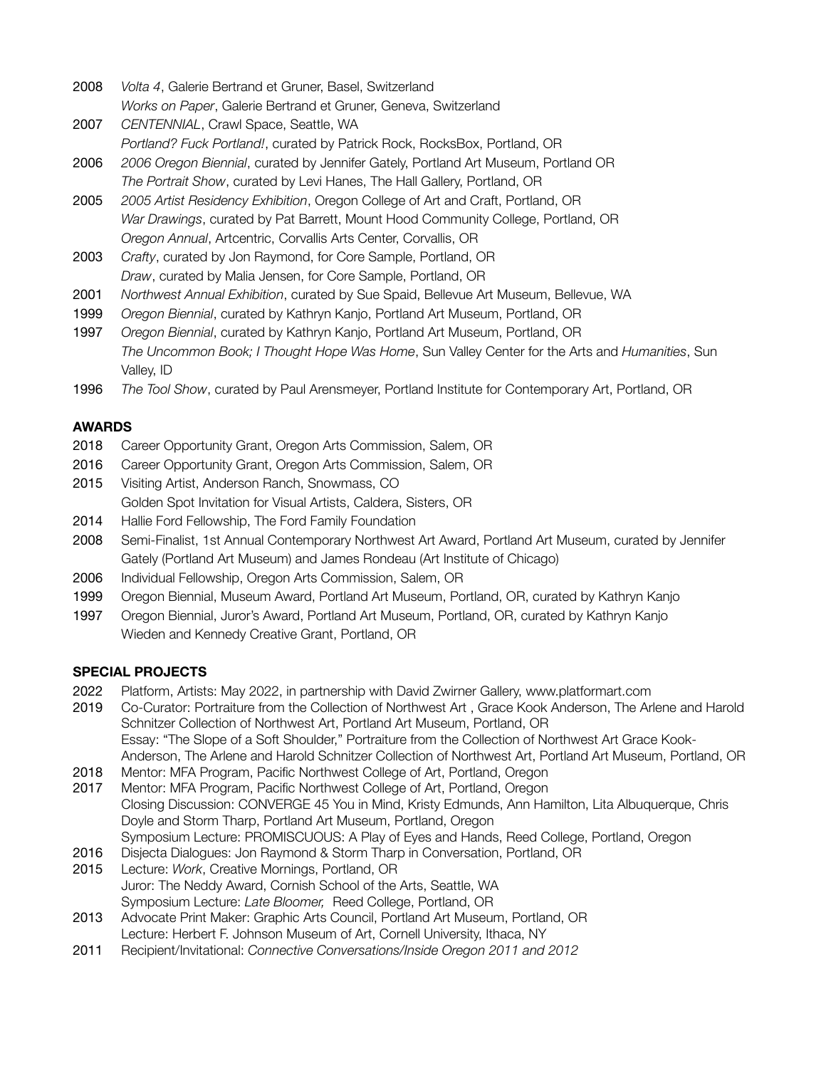- 2008 *Volta 4*, Galerie Bertrand et Gruner, Basel, Switzerland *Works on Paper*, Galerie Bertrand et Gruner, Geneva, Switzerland
- 2007 *CENTENNIAL*, Crawl Space, Seattle, WA
	- *Portland? Fuck Portland!*, curated by Patrick Rock, RocksBox, Portland, OR
- 2006 *2006 Oregon Biennial*, curated by Jennifer Gately, Portland Art Museum, Portland OR *The Portrait Show*, curated by Levi Hanes, The Hall Gallery, Portland, OR
- 2005 *2005 Artist Residency Exhibition*, Oregon College of Art and Craft, Portland, OR *War Drawings*, curated by Pat Barrett, Mount Hood Community College, Portland, OR *Oregon Annual*, Artcentric, Corvallis Arts Center, Corvallis, OR
- 2003 *Crafty*, curated by Jon Raymond, for Core Sample, Portland, OR *Draw*, curated by Malia Jensen, for Core Sample, Portland, OR
- 2001 *Northwest Annual Exhibition*, curated by Sue Spaid, Bellevue Art Museum, Bellevue, WA
- 1999 *Oregon Biennial*, curated by Kathryn Kanjo, Portland Art Museum, Portland, OR
- 1997 *Oregon Biennial*, curated by Kathryn Kanjo, Portland Art Museum, Portland, OR *The Uncommon Book; I Thought Hope Was Home*, Sun Valley Center for the Arts and *Humanities*, Sun Valley, ID
- 1996 *The Tool Show*, curated by Paul Arensmeyer, Portland Institute for Contemporary Art, Portland, OR

## **AWARDS**

- 2018 Career Opportunity Grant, Oregon Arts Commission, Salem, OR
- 2016 Career Opportunity Grant, Oregon Arts Commission, Salem, OR
- 2015 Visiting Artist, Anderson Ranch, Snowmass, CO Golden Spot Invitation for Visual Artists, Caldera, Sisters, OR
- 2014 Hallie Ford Fellowship, The Ford Family Foundation
- 2008 Semi-Finalist, 1st Annual Contemporary Northwest Art Award, Portland Art Museum, curated by Jennifer Gately (Portland Art Museum) and James Rondeau (Art Institute of Chicago)
- 2006 Individual Fellowship, Oregon Arts Commission, Salem, OR
- 1999 Oregon Biennial, Museum Award, Portland Art Museum, Portland, OR, curated by Kathryn Kanjo
- 1997 Oregon Biennial, Juror's Award, Portland Art Museum, Portland, OR, curated by Kathryn Kanjo Wieden and Kennedy Creative Grant, Portland, OR

## **SPECIAL PROJECTS**

- 2022 Platform, Artists: May 2022, in partnership with David Zwirner Gallery, www.platformart.com
- 2019 Co-Curator: Portraiture from the Collection of Northwest Art , Grace Kook Anderson, The Arlene and Harold Schnitzer Collection of Northwest Art, Portland Art Museum, Portland, OR Essay: "The Slope of a Soft Shoulder," Portraiture from the Collection of Northwest Art Grace Kook-Anderson, The Arlene and Harold Schnitzer Collection of Northwest Art, Portland Art Museum, Portland, OR
- 2018 Mentor: MFA Program, Pacific Northwest College of Art, Portland, Oregon
- 2017 Mentor: MFA Program, Pacific Northwest College of Art, Portland, Oregon Closing Discussion: CONVERGE 45 You in Mind, Kristy Edmunds, Ann Hamilton, Lita Albuquerque, Chris Doyle and Storm Tharp, Portland Art Museum, Portland, Oregon Symposium Lecture: PROMISCUOUS: A Play of Eyes and Hands, Reed College, Portland, Oregon
- 2016 Disjecta Dialogues: Jon Raymond & Storm Tharp in Conversation, Portland, OR
- 2015 Lecture: *Work*, Creative Mornings, Portland, OR Juror: The Neddy Award, Cornish School of the Arts, Seattle, WA Symposium Lecture: *Late Bloomer,* Reed College, Portland, OR
- 2013 Advocate Print Maker: Graphic Arts Council, Portland Art Museum, Portland, OR Lecture: Herbert F. Johnson Museum of Art, Cornell University, Ithaca, NY
- 2011 Recipient/Invitational: *Connective Conversations/Inside Oregon 2011 and 2012*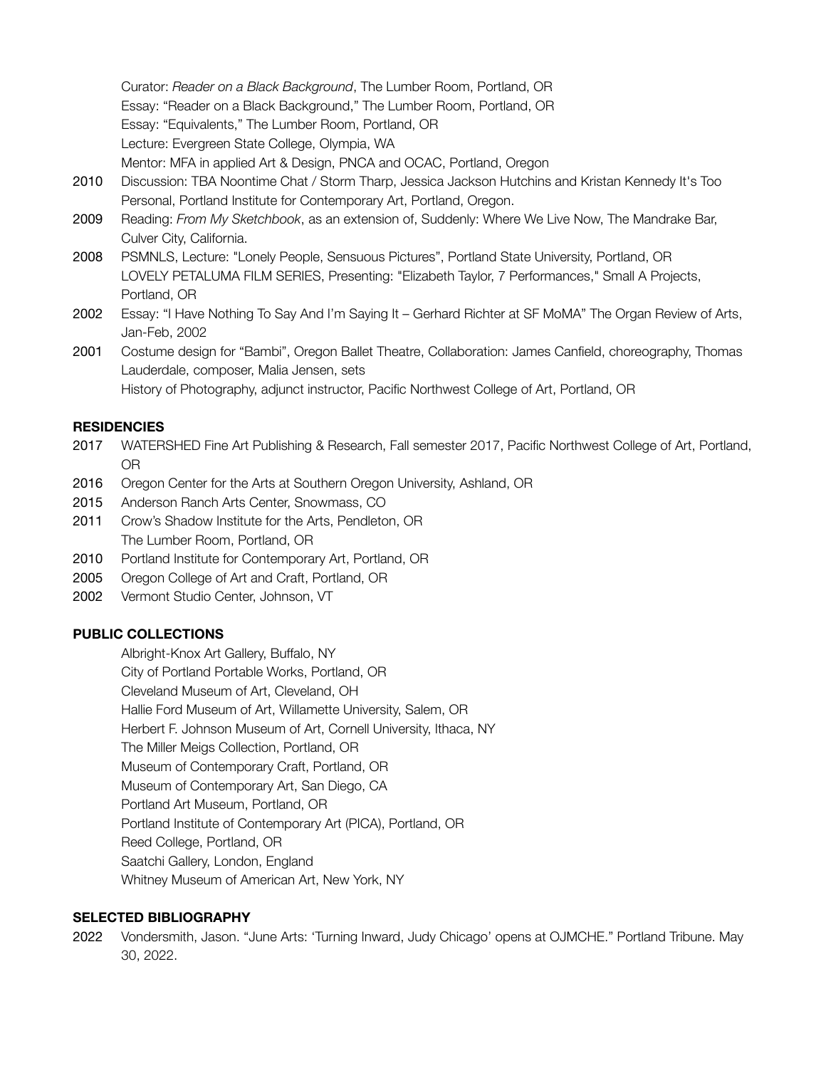Curator: *Reader on a Black Background*, The Lumber Room, Portland, OR Essay: "Reader on a Black Background," The Lumber Room, Portland, OR Essay: "Equivalents," The Lumber Room, Portland, OR Lecture: Evergreen State College, Olympia, WA Mentor: MFA in applied Art & Design, PNCA and OCAC, Portland, Oregon

- 2010 Discussion: TBA Noontime Chat / Storm Tharp, Jessica Jackson Hutchins and Kristan Kennedy It's Too Personal, Portland Institute for Contemporary Art, Portland, Oregon.
- 2009 Reading: *From My Sketchbook*, as an extension of, Suddenly: Where We Live Now, The Mandrake Bar, Culver City, California.
- 2008 PSMNLS, Lecture: "Lonely People, Sensuous Pictures", Portland State University, Portland, OR LOVELY PETALUMA FILM SERIES, Presenting: "Elizabeth Taylor, 7 Performances," Small A Projects, Portland, OR
- 2002 Essay: "I Have Nothing To Say And I'm Saying It Gerhard Richter at SF MoMA" The Organ Review of Arts, Jan-Feb, 2002
- 2001 Costume design for "Bambi", Oregon Ballet Theatre, Collaboration: James Canfield, choreography, Thomas Lauderdale, composer, Malia Jensen, sets

# History of Photography, adjunct instructor, Pacific Northwest College of Art, Portland, OR

## **RESIDENCIES**

- 2017 WATERSHED Fine Art Publishing & Research, Fall semester 2017, Pacific Northwest College of Art, Portland, OR
- 2016 Oregon Center for the Arts at Southern Oregon University, Ashland, OR
- 2015 Anderson Ranch Arts Center, Snowmass, CO
- 2011 Crow's Shadow Institute for the Arts, Pendleton, OR The Lumber Room, Portland, OR
- 2010 Portland Institute for Contemporary Art, Portland, OR
- 2005 Oregon College of Art and Craft, Portland, OR
- 2002 Vermont Studio Center, Johnson, VT

## **PUBLIC COLLECTIONS**

Albright-Knox Art Gallery, Buffalo, NY

City of Portland Portable Works, Portland, OR

Cleveland Museum of Art, Cleveland, OH

Hallie Ford Museum of Art, Willamette University, Salem, OR

Herbert F. Johnson Museum of Art, Cornell University, Ithaca, NY

The Miller Meigs Collection, Portland, OR

Museum of Contemporary Craft, Portland, OR

Museum of Contemporary Art, San Diego, CA

Portland Art Museum, Portland, OR

Portland Institute of Contemporary Art (PICA), Portland, OR

Reed College, Portland, OR

Saatchi Gallery, London, England

Whitney Museum of American Art, New York, NY

## **SELECTED BIBLIOGRAPHY**

2022 Vondersmith, Jason. "June Arts: 'Turning Inward, Judy Chicago' opens at OJMCHE." Portland Tribune. May 30, 2022.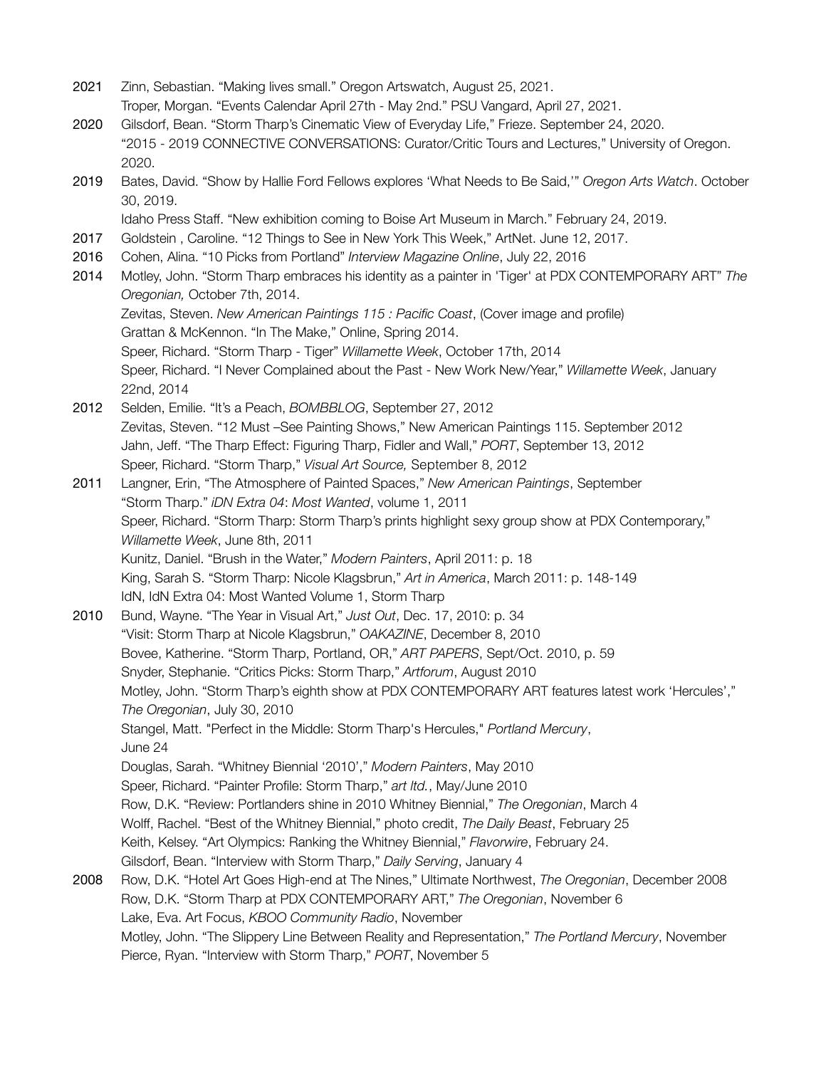- 2021 Zinn, Sebastian. "Making lives small." Oregon Artswatch, August 25, 2021. Troper, Morgan. "Events Calendar April 27th - May 2nd." PSU Vangard, April 27, 2021.
- 2020 Gilsdorf, Bean. "Storm Tharp's Cinematic View of Everyday Life," Frieze. September 24, 2020. "2015 - 2019 CONNECTIVE CONVERSATIONS: Curator/Critic Tours and Lectures," University of Oregon. 2020.
- 2019 Bates, David. "Show by Hallie Ford Fellows explores 'What Needs to Be Said,'" *Oregon Arts Watch*. October 30, 2019.

Idaho Press Staff. "New exhibition coming to Boise Art Museum in March." February 24, 2019.

- 2017 Goldstein , Caroline. "12 Things to See in New York This Week," ArtNet. June 12, 2017.
- 2016 Cohen, Alina. "10 Picks from Portland" *Interview Magazine Online*, July 22, 2016
- 2014 Motley, John. "Storm Tharp embraces his identity as a painter in 'Tiger' at PDX CONTEMPORARY ART" *The Oregonian,* October 7th, 2014.

Zevitas, Steven. *New American Paintings 115 : Pacific Coast*, (Cover image and profile) Grattan & McKennon. "In The Make," Online, Spring 2014.

Speer, Richard. "Storm Tharp - Tiger" *Willamette Week*, October 17th, 2014 Speer, Richard. "I Never Complained about the Past - New Work New/Year," *Willamette Week*, January 22nd, 2014

2012 Selden, Emilie. "It's a Peach, *BOMBBLOG*, September 27, 2012 Zevitas, Steven. "12 Must –See Painting Shows," New American Paintings 115. September 2012 Jahn, Jeff. "The Tharp Effect: Figuring Tharp, Fidler and Wall," *PORT*, September 13, 2012 Speer, Richard. "Storm Tharp," *Visual Art Source,* September 8, 2012

2011 Langner, Erin, "The Atmosphere of Painted Spaces," *New American Paintings*, September "Storm Tharp." *iDN Extra 04*: *Most Wanted*, volume 1, 2011 Speer, Richard. "Storm Tharp: Storm Tharp's prints highlight sexy group show at PDX Contemporary," *Willamette Week*, June 8th, 2011 Kunitz, Daniel. "Brush in the Water," *Modern Painters*, April 2011: p. 18 King, Sarah S. "Storm Tharp: Nicole Klagsbrun," *Art in America*, March 2011: p. 148-149 IdN, IdN Extra 04: Most Wanted Volume 1, Storm Tharp

- 2010 Bund, Wayne. "The Year in Visual Art," *Just Out*, Dec. 17, 2010: p. 34 "Visit: Storm Tharp at Nicole Klagsbrun," *OAKAZINE*, December 8, 2010 Bovee, Katherine. "Storm Tharp, Portland, OR," *ART PAPERS*, Sept/Oct. 2010, p. 59 Snyder, Stephanie. "Critics Picks: Storm Tharp," *Artforum*, August 2010 Motley, John. "Storm Tharp's eighth show at PDX CONTEMPORARY ART features latest work 'Hercules'," *The Oregonian*, July 30, 2010 Stangel, Matt. "Perfect in the Middle: Storm Tharp's Hercules," *Portland Mercury*, June 24 Douglas, Sarah. "Whitney Biennial '2010'," *Modern Painters*, May 2010 Speer, Richard. "Painter Profile: Storm Tharp," *art ltd.*, May/June 2010 Row, D.K. "Review: Portlanders shine in 2010 Whitney Biennial," *The Oregonian*, March 4 Wolff, Rachel. "Best of the Whitney Biennial," photo credit, *The Daily Beast*, February 25 Keith, Kelsey. "Art Olympics: Ranking the Whitney Biennial," *Flavorwire*, February 24. Gilsdorf, Bean. "Interview with Storm Tharp," *Daily Serving*, January 4 2008 Row, D.K. "Hotel Art Goes High-end at The Nines," Ultimate Northwest, *The Oregonian*, December 2008 Row, D.K. "Storm Tharp at PDX CONTEMPORARY ART," *The Oregonian*, November 6 Lake, Eva. Art Focus, *KBOO Community Radio*, November
	- Motley, John. "The Slippery Line Between Reality and Representation," *The Portland Mercury*, November Pierce, Ryan. "Interview with Storm Tharp," *PORT*, November 5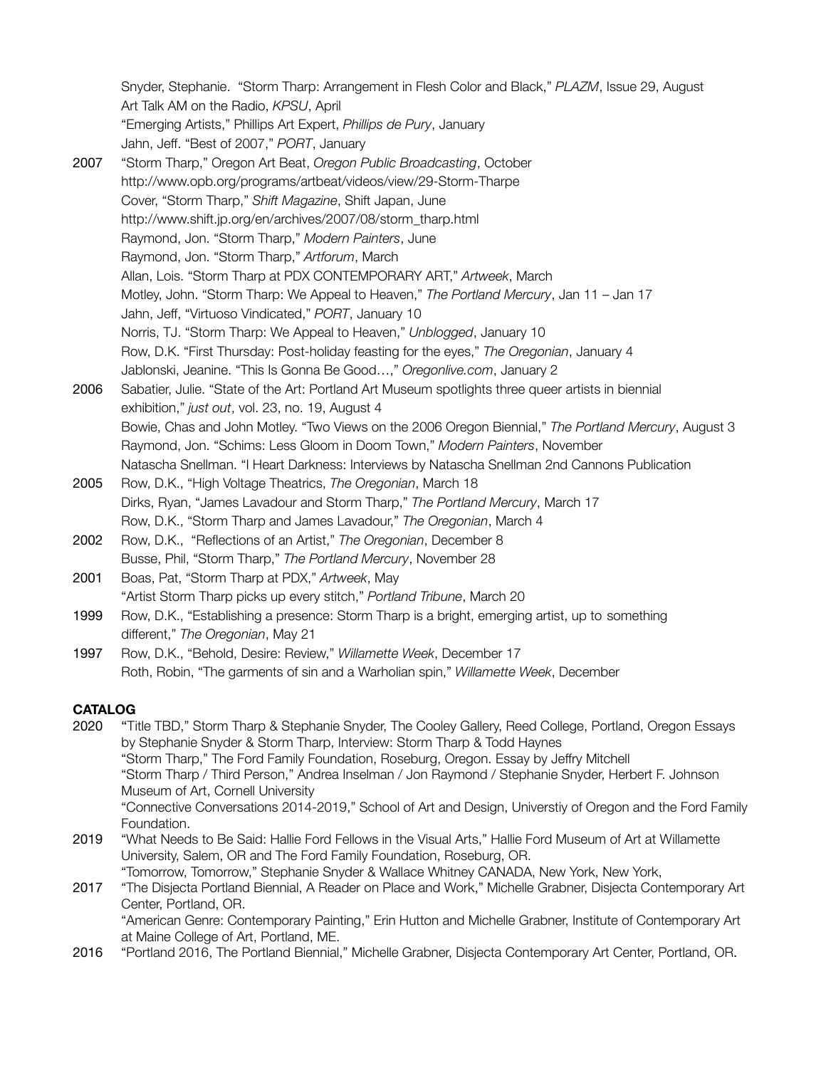Snyder, Stephanie. "Storm Tharp: Arrangement in Flesh Color and Black," *PLAZM*, Issue 29, August Art Talk AM on the Radio, *KPSU*, April "Emerging Artists," Phillips Art Expert, *Phillips de Pury*, January Jahn, Jeff. "Best of 2007," *PORT*, January

- 2007 "Storm Tharp," Oregon Art Beat, *Oregon Public Broadcasting*, October http://www.opb.org/programs/artbeat/videos/view/29-Storm-Tharpe Cover, "Storm Tharp," *Shift Magazine*, Shift Japan, June [http://www.shift.jp.org/en/archives/2007/08/storm\\_tharp.html](http://www.shift.jp.org/en/archives/2007/08/storm_tharp.html) Raymond, Jon. "Storm Tharp," *Modern Painters*, June Raymond, Jon. "Storm Tharp," *Artforum*, March Allan, Lois. "Storm Tharp at PDX CONTEMPORARY ART," *Artweek*, March Motley, John. "Storm Tharp: We Appeal to Heaven," *The Portland Mercury*, Jan 11 – Jan 17 Jahn, Jeff, "Virtuoso Vindicated," *PORT*, January 10 Norris, TJ. "Storm Tharp: We Appeal to Heaven," *Unblogged*, January 10 Row, D.K. "First Thursday: Post-holiday feasting for the eyes," *The Oregonian*, January 4 Jablonski, Jeanine. "This Is Gonna Be Good…," *Oregonlive.com*, January 2
- 2006 Sabatier, Julie. "State of the Art: Portland Art Museum spotlights three queer artists in biennial exhibition," *just out*, vol. 23, no. 19, August 4 Bowie, Chas and John Motley. "Two Views on the 2006 Oregon Biennial," *The Portland Mercury*, August 3 Raymond, Jon. "Schims: Less Gloom in Doom Town," *Modern Painters*, November Natascha Snellman. "I Heart Darkness: Interviews by Natascha Snellman 2nd Cannons Publication
- 2005 Row, D.K., "High Voltage Theatrics, *The Oregonian*, March 18 Dirks, Ryan, "James Lavadour and Storm Tharp," *The Portland Mercury*, March 17 Row, D.K., "Storm Tharp and James Lavadour," *The Oregonian*, March 4
- 2002 Row, D.K., "Reflections of an Artist," *The Oregonian*, December 8 Busse, Phil, "Storm Tharp," *The Portland Mercury*, November 28
- 2001 Boas, Pat, "Storm Tharp at PDX," *Artweek*, May "Artist Storm Tharp picks up every stitch," *Portland Tribune*, March 20
- 1999 Row, D.K., "Establishing a presence: Storm Tharp is a bright, emerging artist, up to something different," *The Oregonian*, May 21
- 1997 Row, D.K., "Behold, Desire: Review," *Willamette Week*, December 17 Roth, Robin, "The garments of sin and a Warholian spin," *Willamette Week*, December

## **CATALOG**

- 2020 "Title TBD," Storm Tharp & Stephanie Snyder, The Cooley Gallery, Reed College, Portland, Oregon Essays by Stephanie Snyder & Storm Tharp, Interview: Storm Tharp & Todd Haynes "Storm Tharp," The Ford Family Foundation, Roseburg, Oregon. Essay by Jeffry Mitchell "Storm Tharp / Third Person," Andrea Inselman / Jon Raymond / Stephanie Snyder, Herbert F. Johnson Museum of Art, Cornell University "Connective Conversations 2014-2019," School of Art and Design, Universtiy of Oregon and the Ford Family Foundation. 2019 "What Needs to Be Said: Hallie Ford Fellows in the Visual Arts," Hallie Ford Museum of Art at Willamette University, Salem, OR and The Ford Family Foundation, Roseburg, OR.
- "Tomorrow, Tomorrow," Stephanie Snyder & Wallace Whitney CANADA, New York, New York, 2017 "The Disjecta Portland Biennial, A Reader on Place and Work," Michelle Grabner, Disjecta Contemporary Art Center, Portland, OR. "American Genre: Contemporary Painting," Erin Hutton and Michelle Grabner, Institute of Contemporary Art
- at Maine College of Art, Portland, ME. 2016 "Portland 2016, The Portland Biennial," Michelle Grabner, Disjecta Contemporary Art Center, Portland, OR.